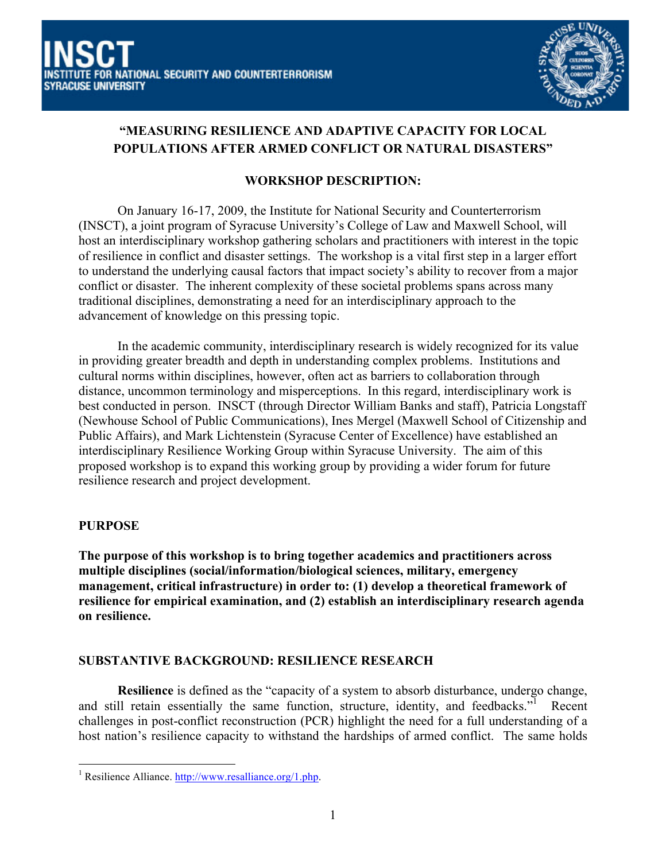

# **"MEASURING RESILIENCE AND ADAPTIVE CAPACITY FOR LOCAL POPULATIONS AFTER ARMED CONFLICT OR NATURAL DISASTERS"**

## **WORKSHOP DESCRIPTION:**

On January 16-17, 2009, the Institute for National Security and Counterterrorism (INSCT), a joint program of Syracuse University's College of Law and Maxwell School, will host an interdisciplinary workshop gathering scholars and practitioners with interest in the topic of resilience in conflict and disaster settings. The workshop is a vital first step in a larger effort to understand the underlying causal factors that impact society's ability to recover from a major conflict or disaster. The inherent complexity of these societal problems spans across many traditional disciplines, demonstrating a need for an interdisciplinary approach to the advancement of knowledge on this pressing topic.

In the academic community, interdisciplinary research is widely recognized for its value in providing greater breadth and depth in understanding complex problems. Institutions and cultural norms within disciplines, however, often act as barriers to collaboration through distance, uncommon terminology and misperceptions. In this regard, interdisciplinary work is best conducted in person. INSCT (through Director William Banks and staff), Patricia Longstaff (Newhouse School of Public Communications), Ines Mergel (Maxwell School of Citizenship and Public Affairs), and Mark Lichtenstein (Syracuse Center of Excellence) have established an interdisciplinary Resilience Working Group within Syracuse University. The aim of this proposed workshop is to expand this working group by providing a wider forum for future resilience research and project development.

### **PURPOSE**

**The purpose of this workshop is to bring together academics and practitioners across multiple disciplines (social/information/biological sciences, military, emergency management, critical infrastructure) in order to: (1) develop a theoretical framework of resilience for empirical examination, and (2) establish an interdisciplinary research agenda on resilience.**

### **SUBSTANTIVE BACKGROUND: RESILIENCE RESEARCH**

**Resilience** is defined as the "capacity of a system to absorb disturbance, undergo change, and still retain essentially the same function, structure, identity, and feedbacks."<sup>1</sup> Recent challenges in post-conflict reconstruction (PCR) highlight the need for a full understanding of a host nation's resilience capacity to withstand the hardships of armed conflict. The same holds

 <sup>1</sup> Resilience Alliance. http://www.resalliance.org/1.php.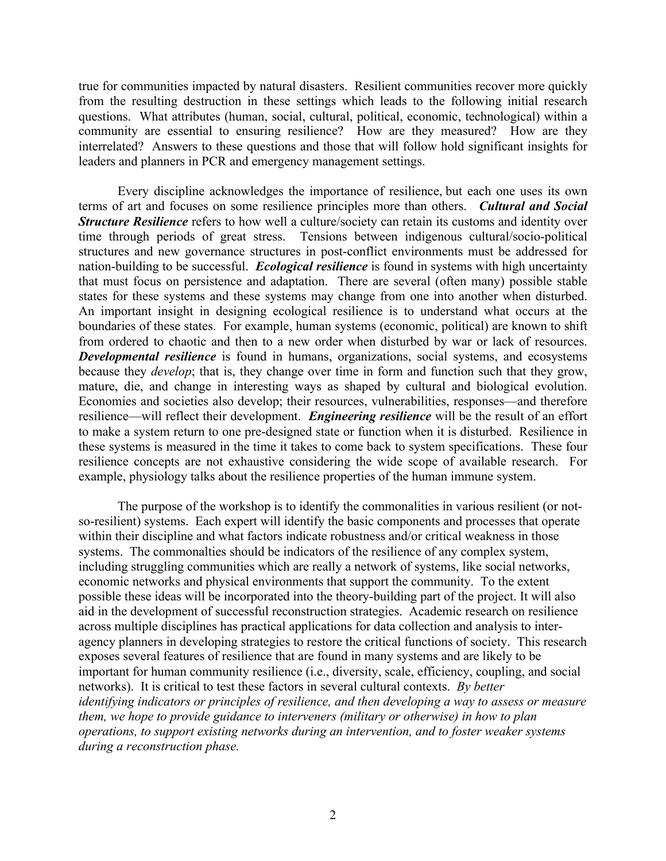true for communities impacted by natural disasters. Resilient communities recover more quickly from the resulting destruction in these settings which leads to the following initial research questions. What attributes (human, social, cultural, political, economic, technological) within a community are essential to ensuring resilience? How are they measured? How are they interrelated? Answers to these questions and those that will follow hold significant insights for leaders and planners in PCR and emergency management settings.

Every discipline acknowledges the importance of resilience, but each one uses its own terms of art and focuses on some resilience principles more than others. *Cultural and Social Structure Resilience* refers to how well a culture/society can retain its customs and identity over time through periods of great stress. Tensions between indigenous cultural/socio-political structures and new governance structures in post-conflict environments must be addressed for nation-building to be successful. *Ecological resilience* is found in systems with high uncertainty that must focus on persistence and adaptation. There are several (often many) possible stable states for these systems and these systems may change from one into another when disturbed. An important insight in designing ecological resilience is to understand what occurs at the boundaries of these states. For example, human systems (economic, political) are known to shift from ordered to chaotic and then to a new order when disturbed by war or lack of resources. *Developmental resilience* is found in humans, organizations, social systems, and ecosystems because they *develop*; that is, they change over time in form and function such that they grow, mature, die, and change in interesting ways as shaped by cultural and biological evolution. Economies and societies also develop; their resources, vulnerabilities, responses—and therefore resilience—will reflect their development. *Engineering resilience* will be the result of an effort to make a system return to one pre-designed state or function when it is disturbed. Resilience in these systems is measured in the time it takes to come back to system specifications. These four resilience concepts are not exhaustive considering the wide scope of available research. For example, physiology talks about the resilience properties of the human immune system.

The purpose of the workshop is to identify the commonalities in various resilient (or notso-resilient) systems. Each expert will identify the basic components and processes that operate within their discipline and what factors indicate robustness and/or critical weakness in those systems. The commonalties should be indicators of the resilience of any complex system, including struggling communities which are really a network of systems, like social networks, economic networks and physical environments that support the community. To the extent possible these ideas will be incorporated into the theory-building part of the project. It will also aid in the development of successful reconstruction strategies. Academic research on resilience across multiple disciplines has practical applications for data collection and analysis to interagency planners in developing strategies to restore the critical functions of society. This research exposes several features of resilience that are found in many systems and are likely to be important for human community resilience (i.e., diversity, scale, efficiency, coupling, and social networks). It is critical to test these factors in several cultural contexts. *By better identifying indicators or principles of resilience, and then developing a way to assess or measure them, we hope to provide guidance to interveners (military or otherwise) in how to plan operations, to support existing networks during an intervention, and to foster weaker systems during a reconstruction phase.*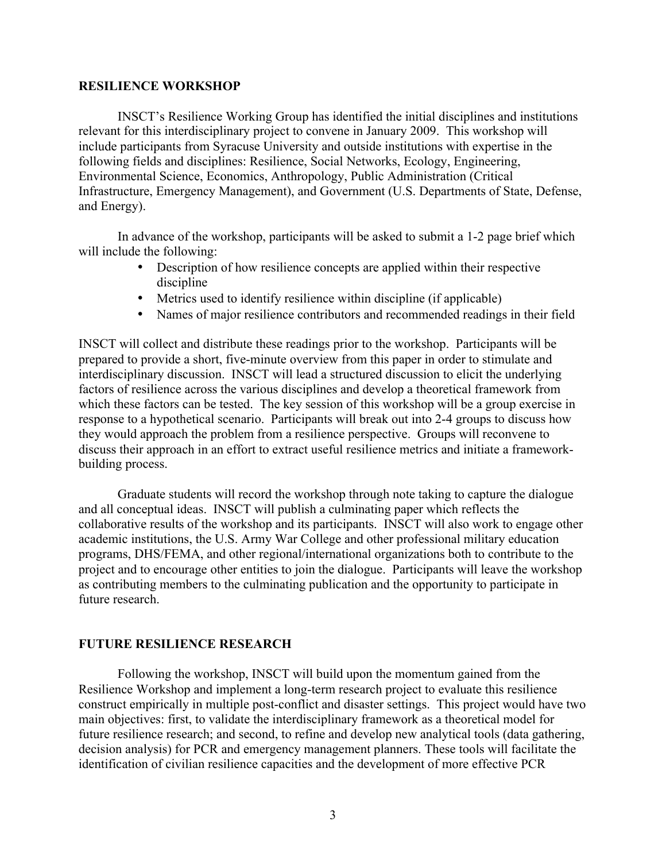#### **RESILIENCE WORKSHOP**

INSCT's Resilience Working Group has identified the initial disciplines and institutions relevant for this interdisciplinary project to convene in January 2009. This workshop will include participants from Syracuse University and outside institutions with expertise in the following fields and disciplines: Resilience, Social Networks, Ecology, Engineering, Environmental Science, Economics, Anthropology, Public Administration (Critical Infrastructure, Emergency Management), and Government (U.S. Departments of State, Defense, and Energy).

In advance of the workshop, participants will be asked to submit a 1-2 page brief which will include the following:

- Description of how resilience concepts are applied within their respective discipline
- Metrics used to identify resilience within discipline (if applicable)
- Names of major resilience contributors and recommended readings in their field

INSCT will collect and distribute these readings prior to the workshop. Participants will be prepared to provide a short, five-minute overview from this paper in order to stimulate and interdisciplinary discussion. INSCT will lead a structured discussion to elicit the underlying factors of resilience across the various disciplines and develop a theoretical framework from which these factors can be tested. The key session of this workshop will be a group exercise in response to a hypothetical scenario. Participants will break out into 2-4 groups to discuss how they would approach the problem from a resilience perspective. Groups will reconvene to discuss their approach in an effort to extract useful resilience metrics and initiate a frameworkbuilding process.

Graduate students will record the workshop through note taking to capture the dialogue and all conceptual ideas. INSCT will publish a culminating paper which reflects the collaborative results of the workshop and its participants. INSCT will also work to engage other academic institutions, the U.S. Army War College and other professional military education programs, DHS/FEMA, and other regional/international organizations both to contribute to the project and to encourage other entities to join the dialogue. Participants will leave the workshop as contributing members to the culminating publication and the opportunity to participate in future research.

#### **FUTURE RESILIENCE RESEARCH**

Following the workshop, INSCT will build upon the momentum gained from the Resilience Workshop and implement a long-term research project to evaluate this resilience construct empirically in multiple post-conflict and disaster settings. This project would have two main objectives: first, to validate the interdisciplinary framework as a theoretical model for future resilience research; and second, to refine and develop new analytical tools (data gathering, decision analysis) for PCR and emergency management planners. These tools will facilitate the identification of civilian resilience capacities and the development of more effective PCR